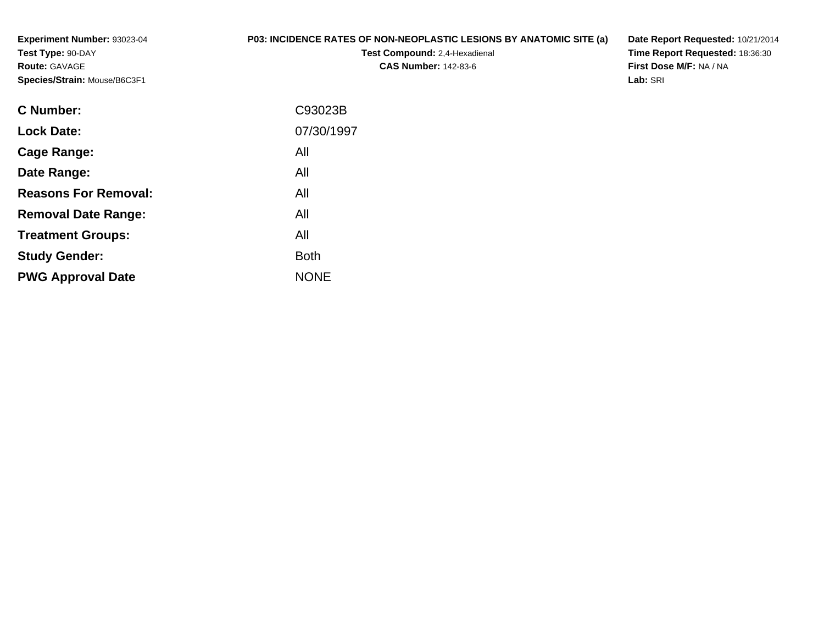**Experiment Number:** 93023-04**Test Type:** 90-DAY**Route:** GAVAGE**Species/Strain:** Mouse/B6C3F1

## **P03: INCIDENCE RATES OF NON-NEOPLASTIC LESIONS BY ANATOMIC SITE (a)**

**Test Compound:** 2,4-Hexadienal **CAS Number:** 142-83-6

**Date Report Requested:** 10/21/2014 **Time Report Requested:** 18:36:30**First Dose M/F:** NA / NA**Lab:** SRI

| C Number:                   | C93023B     |
|-----------------------------|-------------|
| <b>Lock Date:</b>           | 07/30/1997  |
| Cage Range:                 | All         |
| Date Range:                 | All         |
| <b>Reasons For Removal:</b> | All         |
| <b>Removal Date Range:</b>  | All         |
| <b>Treatment Groups:</b>    | All         |
| <b>Study Gender:</b>        | <b>Both</b> |
| <b>PWG Approval Date</b>    | <b>NONE</b> |
|                             |             |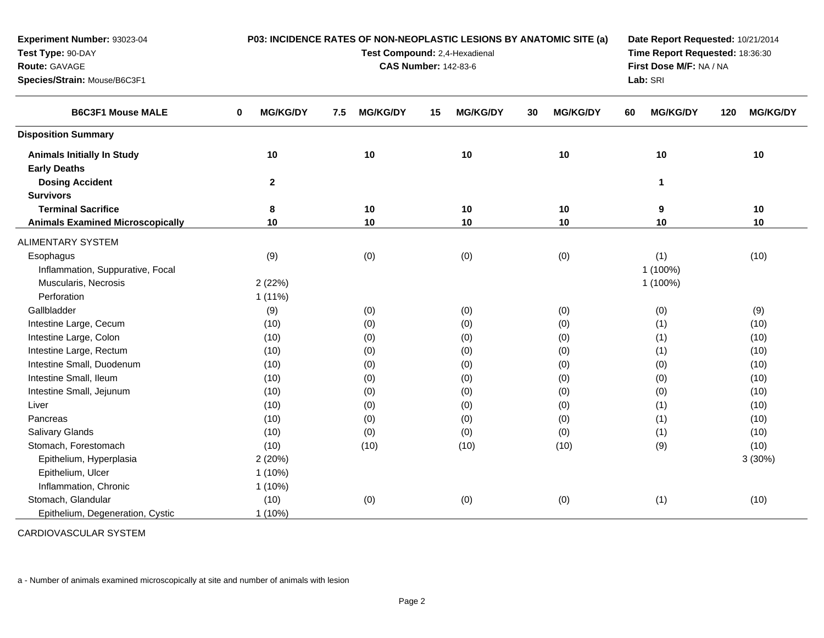| Experiment Number: 93023-04             | P03: INCIDENCE RATES OF NON-NEOPLASTIC LESIONS BY ANATOMIC SITE (a) |                               |    |                                 |    |                 |    | Date Report Requested: 10/21/2014 |     |                 |  |
|-----------------------------------------|---------------------------------------------------------------------|-------------------------------|----|---------------------------------|----|-----------------|----|-----------------------------------|-----|-----------------|--|
| Test Type: 90-DAY                       |                                                                     | Test Compound: 2,4-Hexadienal |    | Time Report Requested: 18:36:30 |    |                 |    |                                   |     |                 |  |
| Route: GAVAGE                           |                                                                     | <b>CAS Number: 142-83-6</b>   |    | First Dose M/F: NA / NA         |    |                 |    |                                   |     |                 |  |
| Species/Strain: Mouse/B6C3F1            |                                                                     |                               |    |                                 |    |                 |    | Lab: SRI                          |     |                 |  |
| <b>B6C3F1 Mouse MALE</b>                | <b>MG/KG/DY</b><br>0                                                | <b>MG/KG/DY</b><br>7.5        | 15 | <b>MG/KG/DY</b>                 | 30 | <b>MG/KG/DY</b> | 60 | <b>MG/KG/DY</b>                   | 120 | <b>MG/KG/DY</b> |  |
| <b>Disposition Summary</b>              |                                                                     |                               |    |                                 |    |                 |    |                                   |     |                 |  |
| <b>Animals Initially In Study</b>       | 10                                                                  | 10                            |    | 10                              |    | 10              |    | 10                                |     | 10              |  |
| <b>Early Deaths</b>                     |                                                                     |                               |    |                                 |    |                 |    |                                   |     |                 |  |
| <b>Dosing Accident</b>                  | $\mathbf{2}$                                                        |                               |    |                                 |    |                 |    | 1                                 |     |                 |  |
| <b>Survivors</b>                        |                                                                     |                               |    |                                 |    |                 |    |                                   |     |                 |  |
| <b>Terminal Sacrifice</b>               | 8                                                                   | 10                            |    | 10                              |    | 10              |    | 9                                 |     | 10              |  |
| <b>Animals Examined Microscopically</b> | 10                                                                  | 10                            |    | 10                              |    | $10$            |    | 10                                |     | 10              |  |
| ALIMENTARY SYSTEM                       |                                                                     |                               |    |                                 |    |                 |    |                                   |     |                 |  |
| Esophagus                               | (9)                                                                 | (0)                           |    | (0)                             |    | (0)             |    | (1)                               |     | (10)            |  |
| Inflammation, Suppurative, Focal        |                                                                     |                               |    |                                 |    |                 |    | 1 (100%)                          |     |                 |  |
| Muscularis, Necrosis                    | 2(22%)                                                              |                               |    |                                 |    |                 |    | 1 (100%)                          |     |                 |  |
| Perforation                             | $1(11\%)$                                                           |                               |    |                                 |    |                 |    |                                   |     |                 |  |
| Gallbladder                             | (9)                                                                 | (0)                           |    | (0)                             |    | (0)             |    | (0)                               |     | (9)             |  |
| Intestine Large, Cecum                  | (10)                                                                | (0)                           |    | (0)                             |    | (0)             |    | (1)                               |     | (10)            |  |
| Intestine Large, Colon                  | (10)                                                                | (0)                           |    | (0)                             |    | (0)             |    | (1)                               |     | (10)            |  |
| Intestine Large, Rectum                 | (10)                                                                | (0)                           |    | (0)                             |    | (0)             |    | (1)                               |     | (10)            |  |
| Intestine Small, Duodenum               | (10)                                                                | (0)                           |    | (0)                             |    | (0)             |    | (0)                               |     | (10)            |  |
| Intestine Small, Ileum                  | (10)                                                                | (0)                           |    | (0)                             |    | (0)             |    | (0)                               |     | (10)            |  |
| Intestine Small, Jejunum                | (10)                                                                | (0)                           |    | (0)                             |    | (0)             |    | (0)                               |     | (10)            |  |
| Liver                                   | (10)                                                                | (0)                           |    | (0)                             |    | (0)             |    | (1)                               |     | (10)            |  |
| Pancreas                                | (10)                                                                | (0)                           |    | (0)                             |    | (0)             |    | (1)                               |     | (10)            |  |
| Salivary Glands                         | (10)                                                                | (0)                           |    | (0)                             |    | (0)             |    | (1)                               |     | (10)            |  |
| Stomach, Forestomach                    | (10)                                                                | (10)                          |    | (10)                            |    | (10)            |    | (9)                               |     | (10)            |  |
| Epithelium, Hyperplasia                 | 2(20%)                                                              |                               |    |                                 |    |                 |    |                                   |     | 3(30%)          |  |
| Epithelium, Ulcer                       | $1(10\%)$                                                           |                               |    |                                 |    |                 |    |                                   |     |                 |  |
| Inflammation, Chronic                   | 1(10%)                                                              |                               |    |                                 |    |                 |    |                                   |     |                 |  |
| Stomach, Glandular                      | (10)                                                                | (0)                           |    | (0)                             |    | (0)             |    | (1)                               |     | (10)            |  |
| Epithelium, Degeneration, Cystic        | 1 (10%)                                                             |                               |    |                                 |    |                 |    |                                   |     |                 |  |

CARDIOVASCULAR SYSTEM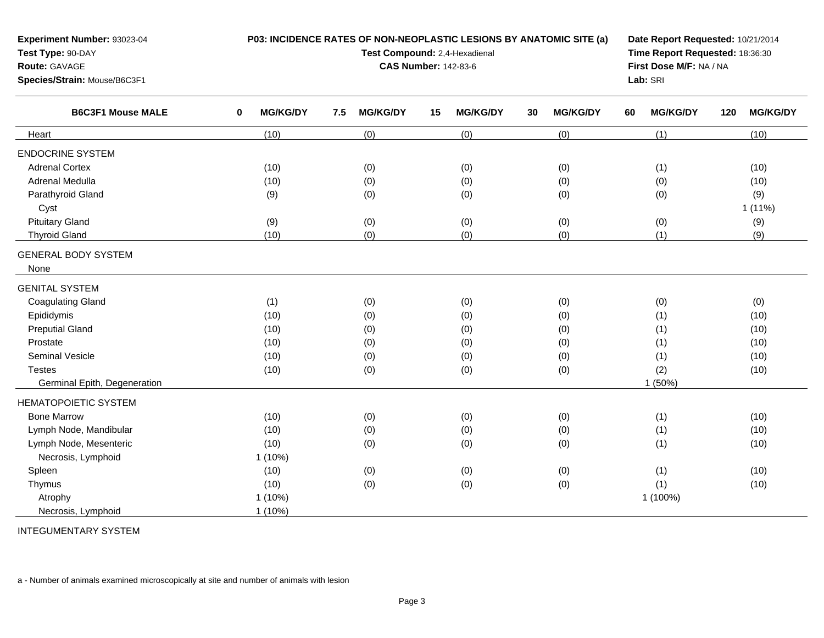| <b>Experiment Number: 93023-04</b><br>Test Type: 90-DAY<br><b>Route: GAVAGE</b><br>Species/Strain: Mouse/B6C3F1 |                      | P03: INCIDENCE RATES OF NON-NEOPLASTIC LESIONS BY ANATOMIC SITE (a)<br>Test Compound: 2,4-Hexadienal<br><b>CAS Number: 142-83-6</b> | Date Report Requested: 10/21/2014<br>Time Report Requested: 18:36:30<br>First Dose M/F: NA / NA<br>Lab: SRI |                       |                       |                        |
|-----------------------------------------------------------------------------------------------------------------|----------------------|-------------------------------------------------------------------------------------------------------------------------------------|-------------------------------------------------------------------------------------------------------------|-----------------------|-----------------------|------------------------|
| <b>B6C3F1 Mouse MALE</b>                                                                                        | <b>MG/KG/DY</b><br>0 | <b>MG/KG/DY</b><br>7.5                                                                                                              | 15<br><b>MG/KG/DY</b>                                                                                       | <b>MG/KG/DY</b><br>30 | <b>MG/KG/DY</b><br>60 | <b>MG/KG/DY</b><br>120 |
| Heart                                                                                                           | (10)                 | (0)                                                                                                                                 | (0)                                                                                                         | (0)                   | (1)                   | (10)                   |
| <b>ENDOCRINE SYSTEM</b><br><b>Adrenal Cortex</b>                                                                | (10)                 | (0)                                                                                                                                 | (0)                                                                                                         | (0)                   | (1)                   | (10)                   |

a (10) (0) (0) (0) (0) (0) (0) (0) (10)

d (9) (0) (0) (0) (0) (0) (0) (0) (0) (9)

d (1) (0) (0) (0) (0) (0) (0) (0) (0) (0)

d (10) (0) (0) (0) (0) (0) (1) (10)

(10) (0) (0) (0) (1) (10)

s (10) (0) (0) (0) (0) (0) (1) (10) (10)

(10) (0) (0) (0) (1) (10)

s (10) (0) (0) (0) (0) (0) (2) (2) (10)

n (10) (0) (0) (0) (0) (0) (1) (10)

s (10) (0) (0) (0) (0) (0) (1) (10) (10)

1 (10%) 1 (100%)

n 1 (50%)

w (10) (0) (0) (0) (0) (0) (1) (10)

(10) (0) (0) (0) (1) (10)

c (10) (0) (0) (0) (0) (0) (1) (10)

(9) (0) (0) (0) (0) (9)

d (10) (0) (0) (0) (0) (1) (9)

t the contract of the contract of the contract of the contract of the contract of the contract of the contract of the contract of the contract of the contract of the contract of the contract of the contract of the contrac

INTEGUMENTARY SYSTEM

Necrosis, Lymphoid

Adrenal Medulla

Pituitary Gland

Thyroid Gland

GENITAL SYSTEMCoagulating Gland

Preputial Gland

Seminal Vesicle

Bone Marrow

HEMATOPOIETIC SYSTEM

Lymph Node, Mandibular

Lymph Node, Mesenteric

Necrosis, Lymphoid

Germinal Epith, Degeneration

Epididymis

Prostate

**Testes** 

Spleen

Thymus

Atrophy

Cyst

None

Parathyroid Gland

GENERAL BODY SYSTEM

a - Number of animals examined microscopically at site and number of animals with lesion

1 (10%)

1 (10%)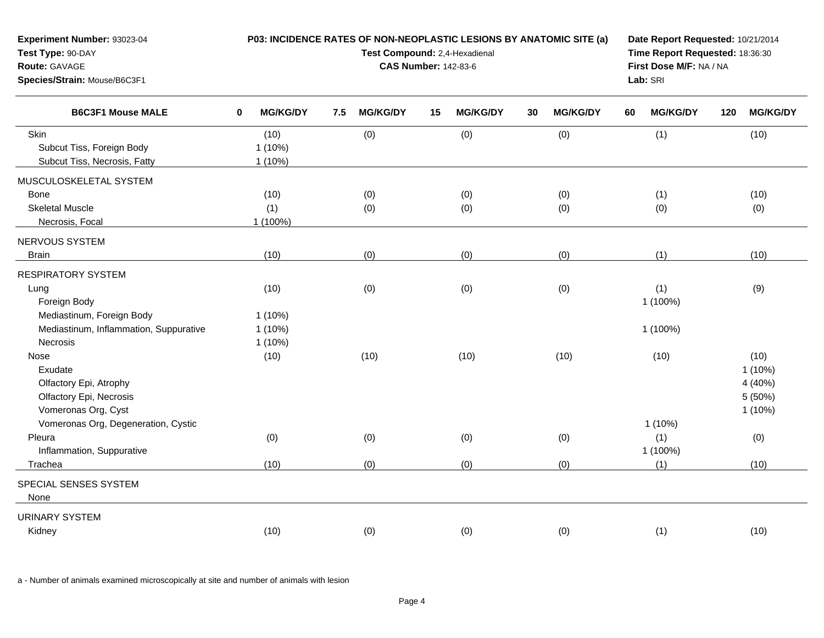| Experiment Number: 93023-04<br>Test Type: 90-DAY<br>Route: GAVAGE<br>Species/Strain: Mouse/B6C3F1 | P03: INCIDENCE RATES OF NON-NEOPLASTIC LESIONS BY ANATOMIC SITE (a)<br>Date Report Requested: 10/21/2014<br>Test Compound: 2,4-Hexadienal<br>Time Report Requested: 18:36:30<br>First Dose M/F: NA / NA<br><b>CAS Number: 142-83-6</b><br>Lab: SRI |                                |     |                 |    |                 |    |                 |    |                                     |     |                                                   |
|---------------------------------------------------------------------------------------------------|----------------------------------------------------------------------------------------------------------------------------------------------------------------------------------------------------------------------------------------------------|--------------------------------|-----|-----------------|----|-----------------|----|-----------------|----|-------------------------------------|-----|---------------------------------------------------|
| <b>B6C3F1 Mouse MALE</b>                                                                          | $\bf{0}$                                                                                                                                                                                                                                           | <b>MG/KG/DY</b>                | 7.5 | <b>MG/KG/DY</b> | 15 | <b>MG/KG/DY</b> | 30 | <b>MG/KG/DY</b> | 60 | <b>MG/KG/DY</b>                     | 120 | <b>MG/KG/DY</b>                                   |
| Skin<br>Subcut Tiss, Foreign Body<br>Subcut Tiss, Necrosis, Fatty                                 |                                                                                                                                                                                                                                                    | (10)<br>$1(10\%)$<br>$1(10\%)$ |     | (0)             |    | (0)             |    | (0)             |    | (1)                                 |     | (10)                                              |
| MUSCULOSKELETAL SYSTEM<br><b>Bone</b><br><b>Skeletal Muscle</b>                                   |                                                                                                                                                                                                                                                    | (10)<br>(1)                    |     | (0)<br>(0)      |    | (0)<br>(0)      |    | (0)<br>(0)      |    | (1)<br>(0)                          |     | (10)<br>(0)                                       |
| Necrosis, Focal<br>NERVOUS SYSTEM<br><b>Brain</b>                                                 |                                                                                                                                                                                                                                                    | 1 (100%)<br>(10)               |     | (0)             |    | (0)             |    | (0)             |    | (1)                                 |     | (10)                                              |
| <b>RESPIRATORY SYSTEM</b>                                                                         |                                                                                                                                                                                                                                                    |                                |     |                 |    |                 |    |                 |    |                                     |     |                                                   |
| Lung<br>Foreign Body<br>Mediastinum, Foreign Body                                                 |                                                                                                                                                                                                                                                    | (10)<br>$1(10\%)$              |     | (0)             |    | (0)             |    | (0)             |    | (1)<br>1 (100%)                     |     | (9)                                               |
| Mediastinum, Inflammation, Suppurative<br>Necrosis                                                |                                                                                                                                                                                                                                                    | $1(10\%)$<br>$1(10\%)$         |     |                 |    |                 |    |                 |    | 1 (100%)                            |     |                                                   |
| Nose<br>Exudate<br>Olfactory Epi, Atrophy<br>Olfactory Epi, Necrosis<br>Vomeronas Org, Cyst       |                                                                                                                                                                                                                                                    | (10)                           |     | (10)            |    | (10)            |    | (10)            |    | (10)                                |     | (10)<br>$1(10\%)$<br>4 (40%)<br>5 (50%)<br>1(10%) |
| Vomeronas Org, Degeneration, Cystic<br>Pleura<br>Inflammation, Suppurative<br>Trachea             |                                                                                                                                                                                                                                                    | (0)<br>(10)                    |     | (0)<br>(0)      |    | (0)<br>(0)      |    | (0)<br>(0)      |    | $1(10\%)$<br>(1)<br>1 (100%)<br>(1) |     | (0)<br>(10)                                       |
| SPECIAL SENSES SYSTEM<br>None                                                                     |                                                                                                                                                                                                                                                    |                                |     |                 |    |                 |    |                 |    |                                     |     |                                                   |
| <b>URINARY SYSTEM</b><br>Kidney                                                                   |                                                                                                                                                                                                                                                    | (10)                           |     | (0)             |    | (0)             |    | (0)             |    | (1)                                 |     | (10)                                              |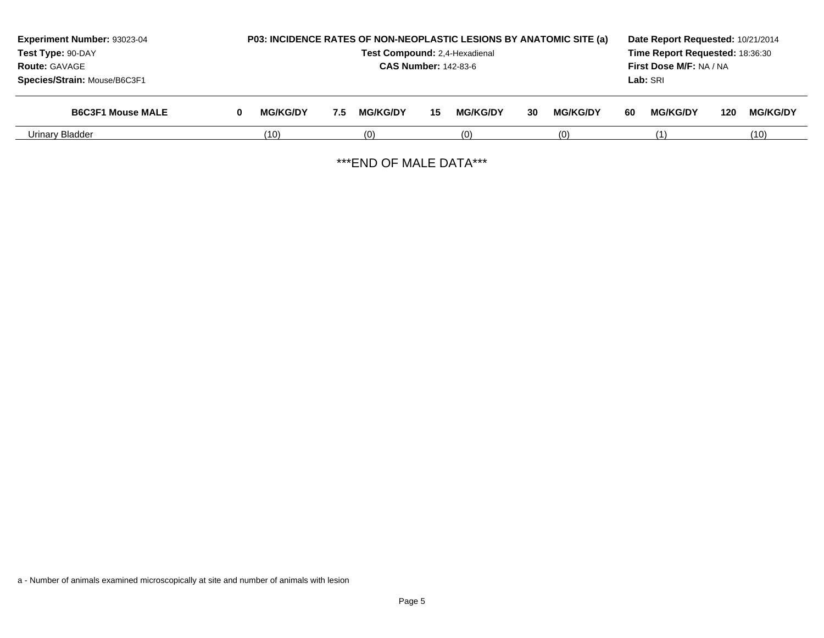| Experiment Number: 93023-04  |   | P03: INCIDENCE RATES OF NON-NEOPLASTIC LESIONS BY ANATOMIC SITE (a)<br>Test Compound: 2,4-Hexadienal |     |                 |    |                 |    |                 |                         | Date Report Requested: 10/21/2014<br>Time Report Requested: 18:36:30 |     |                 |  |
|------------------------------|---|------------------------------------------------------------------------------------------------------|-----|-----------------|----|-----------------|----|-----------------|-------------------------|----------------------------------------------------------------------|-----|-----------------|--|
| Test Type: 90-DAY            |   |                                                                                                      |     |                 |    |                 |    |                 |                         |                                                                      |     |                 |  |
| <b>Route: GAVAGE</b>         |   | <b>CAS Number: 142-83-6</b>                                                                          |     |                 |    |                 |    |                 | First Dose M/F: NA / NA |                                                                      |     |                 |  |
| Species/Strain: Mouse/B6C3F1 |   |                                                                                                      |     |                 |    |                 |    |                 |                         | Lab: SRI                                                             |     |                 |  |
| <b>B6C3F1 Mouse MALE</b>     | 0 | <b>MG/KG/DY</b>                                                                                      | 7.5 | <b>MG/KG/DY</b> | 15 | <b>MG/KG/DY</b> | 30 | <b>MG/KG/DY</b> | 60                      | <b>MG/KG/DY</b>                                                      | 120 | <b>MG/KG/DY</b> |  |
| Urinary Bladder              |   | (10)                                                                                                 |     | (0)             |    | (0)             |    | (0)             |                         |                                                                      |     | (10)            |  |

\*\*\*END OF MALE DATA\*\*\*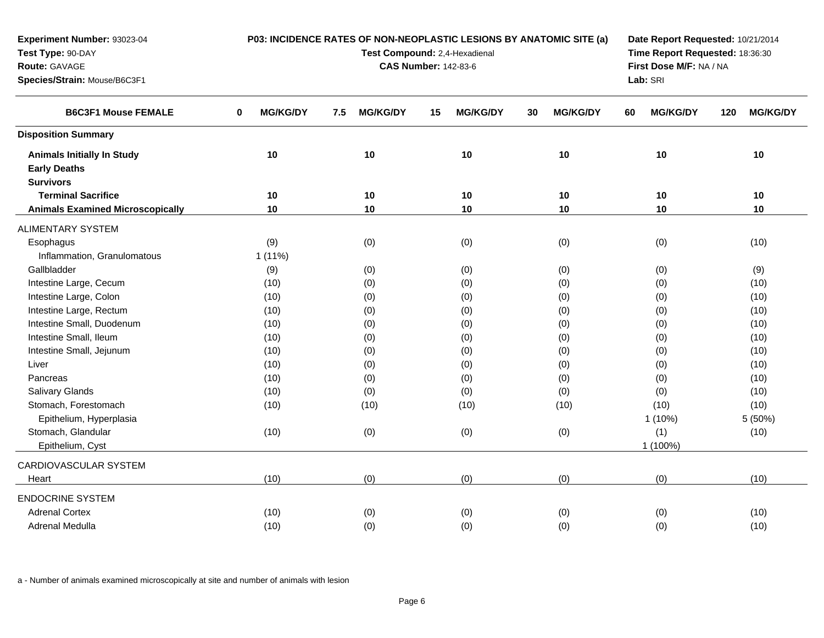| Experiment Number: 93023-04             | P03: INCIDENCE RATES OF NON-NEOPLASTIC LESIONS BY ANATOMIC SITE (a)<br>Date Report Requested: 10/21/2014 |                             |                               |                       |                                 |                        |  |  |  |  |  |  |
|-----------------------------------------|----------------------------------------------------------------------------------------------------------|-----------------------------|-------------------------------|-----------------------|---------------------------------|------------------------|--|--|--|--|--|--|
| Test Type: 90-DAY                       |                                                                                                          |                             | Test Compound: 2,4-Hexadienal |                       | Time Report Requested: 18:36:30 |                        |  |  |  |  |  |  |
| Route: GAVAGE                           |                                                                                                          | <b>CAS Number: 142-83-6</b> | First Dose M/F: NA / NA       |                       |                                 |                        |  |  |  |  |  |  |
| Species/Strain: Mouse/B6C3F1            |                                                                                                          |                             |                               |                       | Lab: SRI                        |                        |  |  |  |  |  |  |
| <b>B6C3F1 Mouse FEMALE</b>              | <b>MG/KG/DY</b><br>0                                                                                     | <b>MG/KG/DY</b><br>7.5      | <b>MG/KG/DY</b><br>15         | <b>MG/KG/DY</b><br>30 | <b>MG/KG/DY</b><br>60           | <b>MG/KG/DY</b><br>120 |  |  |  |  |  |  |
| <b>Disposition Summary</b>              |                                                                                                          |                             |                               |                       |                                 |                        |  |  |  |  |  |  |
| <b>Animals Initially In Study</b>       | 10                                                                                                       | 10                          | 10                            | 10                    | 10                              | 10                     |  |  |  |  |  |  |
| <b>Early Deaths</b>                     |                                                                                                          |                             |                               |                       |                                 |                        |  |  |  |  |  |  |
| <b>Survivors</b>                        |                                                                                                          |                             |                               |                       |                                 |                        |  |  |  |  |  |  |
| <b>Terminal Sacrifice</b>               | 10                                                                                                       | 10                          | 10                            | 10                    | 10                              | 10                     |  |  |  |  |  |  |
| <b>Animals Examined Microscopically</b> | 10                                                                                                       | 10                          | 10                            | 10                    | 10                              | 10                     |  |  |  |  |  |  |
| ALIMENTARY SYSTEM                       |                                                                                                          |                             |                               |                       |                                 |                        |  |  |  |  |  |  |
| Esophagus                               | (9)                                                                                                      | (0)                         | (0)                           | (0)                   | (0)                             | (10)                   |  |  |  |  |  |  |
| Inflammation, Granulomatous             | $1(11\%)$                                                                                                |                             |                               |                       |                                 |                        |  |  |  |  |  |  |
| Gallbladder                             | (9)                                                                                                      | (0)                         | (0)                           | (0)                   | (0)                             | (9)                    |  |  |  |  |  |  |
| Intestine Large, Cecum                  | (10)                                                                                                     | (0)                         | (0)                           | (0)                   | (0)                             | (10)                   |  |  |  |  |  |  |
| Intestine Large, Colon                  | (10)                                                                                                     | (0)                         | (0)                           | (0)                   | (0)                             | (10)                   |  |  |  |  |  |  |
| Intestine Large, Rectum                 | (10)                                                                                                     | (0)                         | (0)                           | (0)                   | (0)                             | (10)                   |  |  |  |  |  |  |
| Intestine Small, Duodenum               | (10)                                                                                                     | (0)                         | (0)                           | (0)                   | (0)                             | (10)                   |  |  |  |  |  |  |
| Intestine Small, Ileum                  | (10)                                                                                                     | (0)                         | (0)                           | (0)                   | (0)                             | (10)                   |  |  |  |  |  |  |
| Intestine Small, Jejunum                | (10)                                                                                                     | (0)                         | (0)                           | (0)                   | (0)                             | (10)                   |  |  |  |  |  |  |
| Liver                                   | (10)                                                                                                     | (0)                         | (0)                           | (0)                   | (0)                             | (10)                   |  |  |  |  |  |  |
| Pancreas                                | (10)                                                                                                     | (0)                         | (0)                           | (0)                   | (0)                             | (10)                   |  |  |  |  |  |  |
| Salivary Glands                         | (10)                                                                                                     | (0)                         | (0)                           | (0)                   | (0)                             | (10)                   |  |  |  |  |  |  |
| Stomach, Forestomach                    | (10)                                                                                                     | (10)                        | (10)                          | (10)                  | (10)                            | (10)                   |  |  |  |  |  |  |
| Epithelium, Hyperplasia                 |                                                                                                          |                             |                               |                       | $1(10\%)$                       | 5 (50%)                |  |  |  |  |  |  |
| Stomach, Glandular                      | (10)                                                                                                     | (0)                         | (0)                           | (0)                   | (1)                             | (10)                   |  |  |  |  |  |  |
| Epithelium, Cyst                        |                                                                                                          |                             |                               |                       | 1 (100%)                        |                        |  |  |  |  |  |  |
| CARDIOVASCULAR SYSTEM                   |                                                                                                          |                             |                               |                       |                                 |                        |  |  |  |  |  |  |
| Heart                                   | (10)                                                                                                     | (0)                         | (0)                           | (0)                   | (0)                             | (10)                   |  |  |  |  |  |  |
| <b>ENDOCRINE SYSTEM</b>                 |                                                                                                          |                             |                               |                       |                                 |                        |  |  |  |  |  |  |
| <b>Adrenal Cortex</b>                   | (10)                                                                                                     | (0)                         | (0)                           | (0)                   | (0)                             | (10)                   |  |  |  |  |  |  |
| Adrenal Medulla                         | (10)                                                                                                     | (0)                         | (0)                           | (0)                   | (0)                             | (10)                   |  |  |  |  |  |  |
|                                         |                                                                                                          |                             |                               |                       |                                 |                        |  |  |  |  |  |  |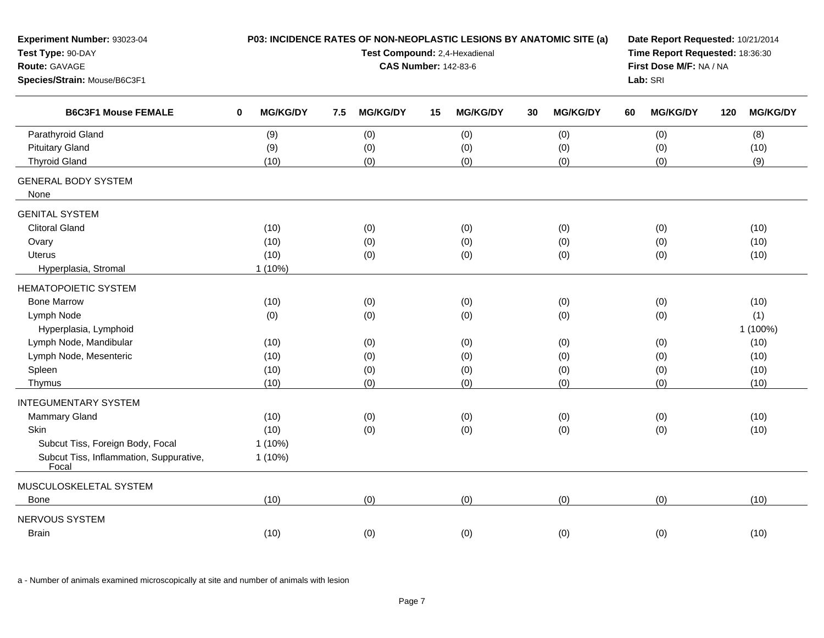| Experiment Number: 93023-04<br>Test Type: 90-DAY<br>Route: GAVAGE<br>Species/Strain: Mouse/B6C3F1 |                                | P03: INCIDENCE RATES OF NON-NEOPLASTIC LESIONS BY ANATOMIC SITE (a)<br>Test Compound: 2,4-Hexadienal<br><b>CAS Number: 142-83-6</b> | Date Report Requested: 10/21/2014<br>Time Report Requested: 18:36:30<br>First Dose M/F: NA / NA<br>Lab: SRI |                       |                       |                        |
|---------------------------------------------------------------------------------------------------|--------------------------------|-------------------------------------------------------------------------------------------------------------------------------------|-------------------------------------------------------------------------------------------------------------|-----------------------|-----------------------|------------------------|
| <b>B6C3F1 Mouse FEMALE</b>                                                                        | <b>MG/KG/DY</b><br>$\mathbf 0$ | <b>MG/KG/DY</b><br>7.5                                                                                                              | <b>MG/KG/DY</b><br>15                                                                                       | <b>MG/KG/DY</b><br>30 | <b>MG/KG/DY</b><br>60 | <b>MG/KG/DY</b><br>120 |
| Parathyroid Gland                                                                                 | (9)                            | (0)                                                                                                                                 | (0)                                                                                                         | (0)                   | (0)                   | (8)                    |
| <b>Pituitary Gland</b>                                                                            | (9)                            | (0)                                                                                                                                 | (0)                                                                                                         | (0)                   | (0)                   | (10)                   |
| <b>Thyroid Gland</b>                                                                              | (10)                           | (0)                                                                                                                                 | (0)                                                                                                         | (0)                   | (0)                   | (9)                    |
| <b>GENERAL BODY SYSTEM</b><br>None                                                                |                                |                                                                                                                                     |                                                                                                             |                       |                       |                        |
| <b>GENITAL SYSTEM</b>                                                                             |                                |                                                                                                                                     |                                                                                                             |                       |                       |                        |
| <b>Clitoral Gland</b>                                                                             | (10)                           | (0)                                                                                                                                 | (0)                                                                                                         | (0)                   | (0)                   | (10)                   |
| Ovary                                                                                             | (10)                           | (0)                                                                                                                                 | (0)                                                                                                         | (0)                   | (0)                   | (10)                   |
| <b>Uterus</b>                                                                                     | (10)                           | (0)                                                                                                                                 | (0)                                                                                                         | (0)                   | (0)                   | (10)                   |
| Hyperplasia, Stromal                                                                              | $1(10\%)$                      |                                                                                                                                     |                                                                                                             |                       |                       |                        |
| <b>HEMATOPOIETIC SYSTEM</b>                                                                       |                                |                                                                                                                                     |                                                                                                             |                       |                       |                        |
| <b>Bone Marrow</b>                                                                                | (10)                           | (0)                                                                                                                                 | (0)                                                                                                         | (0)                   | (0)                   | (10)                   |
| Lymph Node                                                                                        | (0)                            | (0)                                                                                                                                 | (0)                                                                                                         | (0)                   | (0)                   | (1)                    |
| Hyperplasia, Lymphoid                                                                             |                                |                                                                                                                                     |                                                                                                             |                       |                       | 1 (100%)               |
| Lymph Node, Mandibular                                                                            | (10)                           | (0)                                                                                                                                 | (0)                                                                                                         | (0)                   | (0)                   | (10)                   |
| Lymph Node, Mesenteric                                                                            | (10)                           | (0)                                                                                                                                 | (0)                                                                                                         | (0)                   | (0)                   | (10)                   |
| Spleen                                                                                            | (10)                           | (0)                                                                                                                                 | (0)                                                                                                         | (0)                   | (0)                   | (10)                   |
| Thymus                                                                                            | (10)                           | (0)                                                                                                                                 | (0)                                                                                                         | (0)                   | (0)                   | (10)                   |
| <b>INTEGUMENTARY SYSTEM</b>                                                                       |                                |                                                                                                                                     |                                                                                                             |                       |                       |                        |
| Mammary Gland                                                                                     | (10)                           | (0)                                                                                                                                 | (0)                                                                                                         | (0)                   | (0)                   | (10)                   |
| Skin                                                                                              | (10)                           | (0)                                                                                                                                 | (0)                                                                                                         | (0)                   | (0)                   | (10)                   |
| Subcut Tiss, Foreign Body, Focal                                                                  | $1(10\%)$                      |                                                                                                                                     |                                                                                                             |                       |                       |                        |
| Subcut Tiss, Inflammation, Suppurative,<br>Focal                                                  | 1 (10%)                        |                                                                                                                                     |                                                                                                             |                       |                       |                        |
| MUSCULOSKELETAL SYSTEM                                                                            |                                |                                                                                                                                     |                                                                                                             |                       |                       |                        |
| <b>Bone</b>                                                                                       | (10)                           | (0)                                                                                                                                 | (0)                                                                                                         | (0)                   | (0)                   | (10)                   |
| NERVOUS SYSTEM                                                                                    |                                |                                                                                                                                     |                                                                                                             |                       |                       |                        |
| Brain                                                                                             | (10)                           | (0)                                                                                                                                 | (0)                                                                                                         | (0)                   | (0)                   | (10)                   |